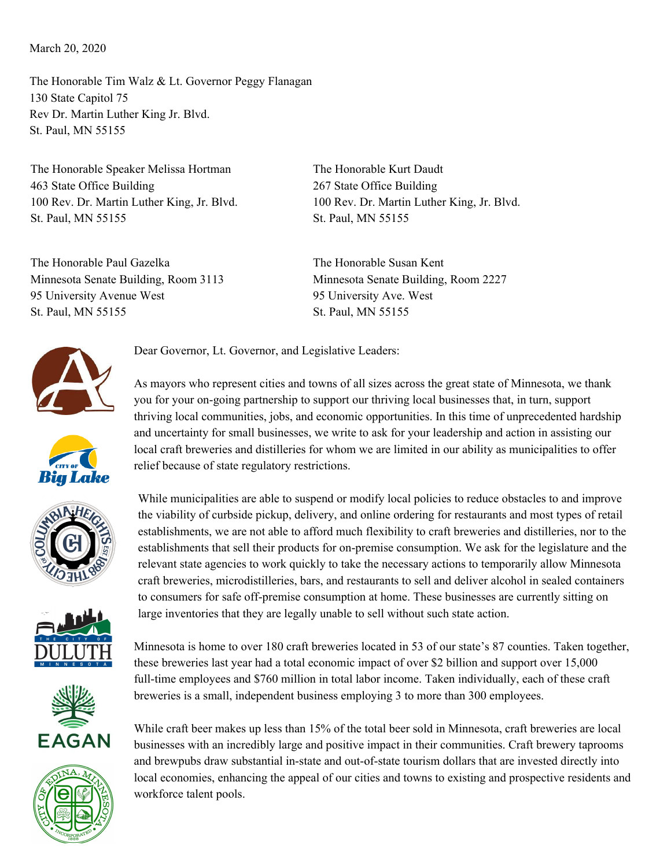## March 20, 2020

The Honorable Tim Walz & Lt. Governor Peggy Flanagan 130 State Capitol 75 Rev Dr. Martin Luther King Jr. Blvd. St. Paul, MN 55155

The Honorable Speaker Melissa Hortman 463 State Office Building 100 Rev. Dr. Martin Luther King, Jr. Blvd. St. Paul, MN 55155

The Honorable Paul Gazelka Minnesota Senate Building, Room 3113 95 University Avenue West St. Paul, MN 55155

The Honorable Kurt Daudt 267 State Office Building 100 Rev. Dr. Martin Luther King, Jr. Blvd. St. Paul, MN 55155

The Honorable Susan Kent Minnesota Senate Building, Room 2227 95 University Ave. West St. Paul, MN 55155









As mayors who represent cities and towns of all sizes across the great state of Minnesota, we thank you for your on-going partnership to support our thriving local businesses that, in turn, support

thriving local communities, jobs, and economic opportunities. In this time of unprecedented hardship and uncertainty for small businesses, we write to ask for your leadership and action in assisting our local craft breweries and distilleries for whom we are limited in our ability as municipalities to offer









Minnesota is home to over 180 craft breweries located in 53 of our state's 87 counties. Taken together, these breweries last year had a total economic impact of over \$2 billion and support over 15,000 full-time employees and \$760 million in total labor income. Taken individually, each of these craft breweries is a small, independent business employing 3 to more than 300 employees.

While craft beer makes up less than 15% of the total beer sold in Minnesota, craft breweries are local businesses with an incredibly large and positive impact in their communities. Craft brewery taprooms and brewpubs draw substantial in-state and out-of-state tourism dollars that are invested directly into local economies, enhancing the appeal of our cities and towns to existing and prospective residents and workforce talent pools.

Dear Governor, Lt. Governor, and Legislative Leaders:

relief because of state regulatory restrictions.